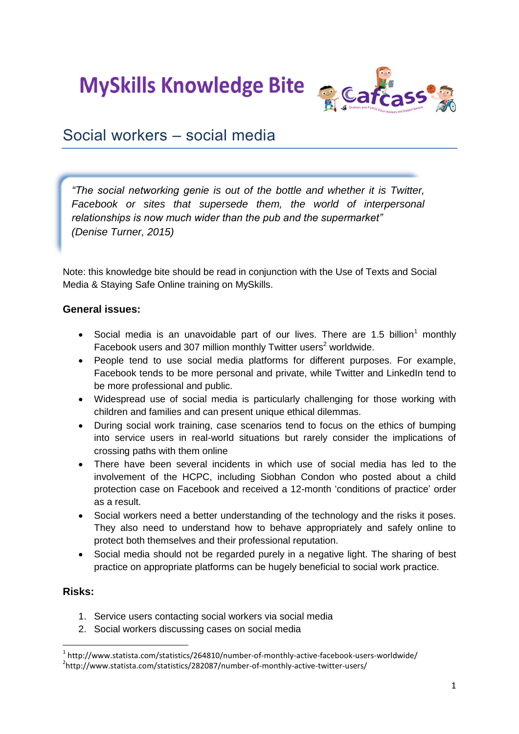**MySkills Knowledge Bite** 



# Social workers – social media

*"The social networking genie is out of the bottle and whether it is Twitter, Facebook or sites that supersede them, the world of interpersonal relationships is now much wider than the pub and the supermarket" (Denise Turner, 2015)*

Note: this knowledge bite should be read in conjunction with the Use of Texts and Social Media & Staying Safe Online training on MySkills.

# **General issues:**

- Social media is an unavoidable part of our lives. There are 1.5 billion<sup>1</sup> monthly Facebook users and 307 million monthly Twitter users<sup>2</sup> worldwide.
- People tend to use social media platforms for different purposes. For example, Facebook tends to be more personal and private, while Twitter and LinkedIn tend to be more professional and public.
- Widespread use of social media is particularly challenging for those working with children and families and can present unique ethical dilemmas.
- During social work training, case scenarios tend to focus on the ethics of bumping into service users in real-world situations but rarely consider the implications of crossing paths with them online
- There have been several incidents in which use of social media has led to the involvement of the HCPC, including Siobhan Condon who posted about a child protection case on Facebook and received a 12-month 'conditions of practice' order as a result.
- Social workers need a better understanding of the technology and the risks it poses. They also need to understand how to behave appropriately and safely online to protect both themselves and their professional reputation.
- Social media should not be regarded purely in a negative light. The sharing of best practice on appropriate platforms can be hugely beneficial to social work practice.

# **Risks:**

**.** 

- 1. Service users contacting social workers via social media
- 2. Social workers discussing cases on social media

<sup>&</sup>lt;sup>1</sup> http://www.statista.com/statistics/264810/number-of-monthly-active-facebook-users-worldwide/ <sup>2</sup>http://www.statista.com/statistics/282087/number-of-monthly-active-twitter-users/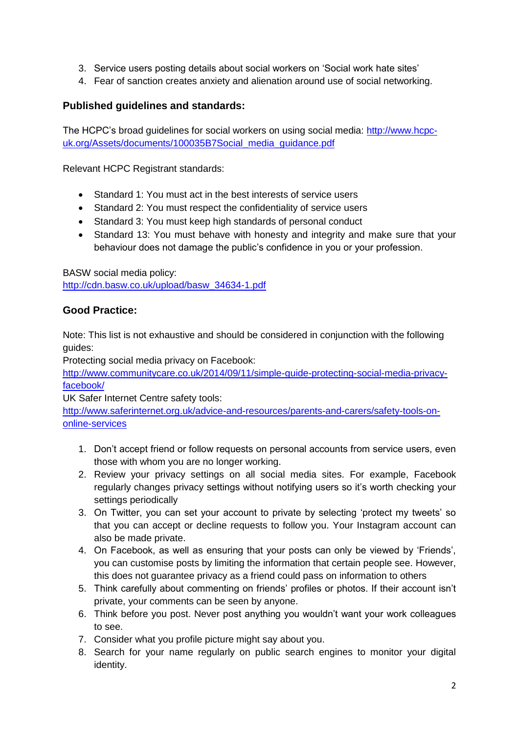- 3. Service users posting details about social workers on 'Social work hate sites'
- 4. Fear of sanction creates anxiety and alienation around use of social networking.

# **Published guidelines and standards:**

The HCPC's broad guidelines for social workers on using social media: [http://www.hcpc](http://www.hcpc-uk.org/Assets/documents/100035B7Social_media_guidance.pdf)uk.org/Assets/documents/100035B7Social\_media\_guidance.pdf

Relevant HCPC Registrant standards:

- Standard 1: You must act in the best interests of service users
- Standard 2: You must respect the confidentiality of service users
- Standard 3: You must keep high standards of personal conduct
- Standard 13: You must behave with honesty and integrity and make sure that your behaviour does not damage the public's confidence in you or your profession.

BASW social media policy:

[http://cdn.basw.co.uk/upload/basw\\_34634-1.pdf](http://cdn.basw.co.uk/upload/basw_34634-1.pdf)

# **Good Practice:**

Note: This list is not exhaustive and should be considered in conjunction with the following guides:

Protecting social media privacy on Facebook:

[http://www.communitycare.co.uk/2014/09/11/simple-guide-protecting-social-media-privacy](http://www.communitycare.co.uk/2014/09/11/simple-guide-protecting-social-media-privacy-facebook/)[facebook/](http://www.communitycare.co.uk/2014/09/11/simple-guide-protecting-social-media-privacy-facebook/)

UK Safer Internet Centre safety tools:

[http://www.saferinternet.org.uk/advice-and-resources/parents-and-carers/safety-tools-on](http://www.saferinternet.org.uk/advice-and-resources/parents-and-carers/safety-tools-on-online-services)[online-services](http://www.saferinternet.org.uk/advice-and-resources/parents-and-carers/safety-tools-on-online-services)

- 1. Don't accept friend or follow requests on personal accounts from service users, even those with whom you are no longer working.
- 2. Review your privacy settings on all social media sites. For example, Facebook regularly changes privacy settings without notifying users so it's worth checking your settings periodically
- 3. On Twitter, you can set your account to private by selecting 'protect my tweets' so that you can accept or decline requests to follow you. Your Instagram account can also be made private.
- 4. On Facebook, as well as ensuring that your posts can only be viewed by 'Friends', you can customise posts by limiting the information that certain people see. However, this does not guarantee privacy as a friend could pass on information to others
- 5. Think carefully about commenting on friends' profiles or photos. If their account isn't private, your comments can be seen by anyone.
- 6. Think before you post. Never post anything you wouldn't want your work colleagues to see.
- 7. Consider what you profile picture might say about you.
- 8. Search for your name regularly on public search engines to monitor your digital identity.